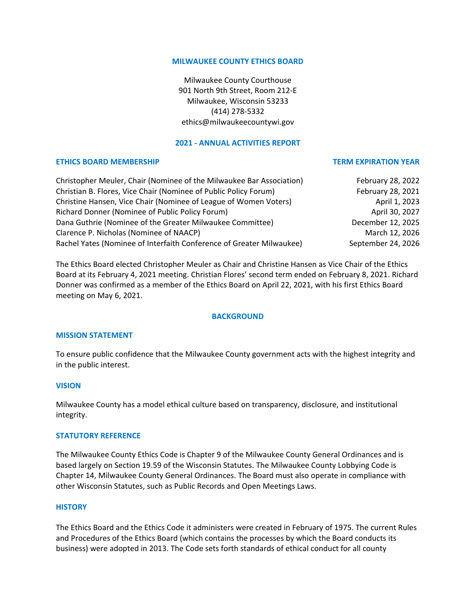#### **MILWAUKEE COUNTY ETHICS BOARD**

Milwaukee County Courthouse 901 North 9th Street, Room 212-E Milwaukee, Wisconsin 53233 (414) 278-5332 ethics@milwaukeecountywi.gov

## **2021 - ANNUAL ACTIVITIES REPORT**

### **ETHICS BOARD MEMBERSHIP TERM EXPIRATION YEAR**

| Christopher Meuler, Chair (Nominee of the Milwaukee Bar Association) | February 28, 2022  |
|----------------------------------------------------------------------|--------------------|
| Christian B. Flores, Vice Chair (Nominee of Public Policy Forum)     | February 28, 2021  |
| Christine Hansen, Vice Chair (Nominee of League of Women Voters)     | April 1, 2023      |
| Richard Donner (Nominee of Public Policy Forum)                      | April 30, 2027     |
| Dana Guthrie (Nominee of the Greater Milwaukee Committee)            | December 12, 2025  |
| Clarence P. Nicholas (Nominee of NAACP)                              | March 12, 2026     |
| Rachel Yates (Nominee of Interfaith Conference of Greater Milwaukee) | September 24, 2026 |

The Ethics Board elected Christopher Meuler as Chair and Christine Hansen as Vice Chair of the Ethics Board at its February 4, 2021 meeting. Christian Flores' second term ended on February 8, 2021. Richard Donner was confirmed as a member of the Ethics Board on April 22, 2021, with his first Ethics Board meeting on May 6, 2021.

## **BACKGROUND**

#### **MISSION STATEMENT**

To ensure public confidence that the Milwaukee County government acts with the highest integrity and in the public interest.

## **VISION**

Milwaukee County has a model ethical culture based on transparency, disclosure, and institutional integrity.

#### **STATUTORY REFERENCE**

The Milwaukee County Ethics Code is Chapter 9 of the Milwaukee County General Ordinances and is based largely on Section 19.59 of the Wisconsin Statutes. The Milwaukee County Lobbying Code is Chapter 14, Milwaukee County General Ordinances. The Board must also operate in compliance with other Wisconsin Statutes, such as Public Records and Open Meetings Laws.

#### **HISTORY**

The Ethics Board and the Ethics Code it administers were created in February of 1975. The current Rules and Procedures of the Ethics Board (which contains the processes by which the Board conducts its business) were adopted in 2013. The Code sets forth standards of ethical conduct for all county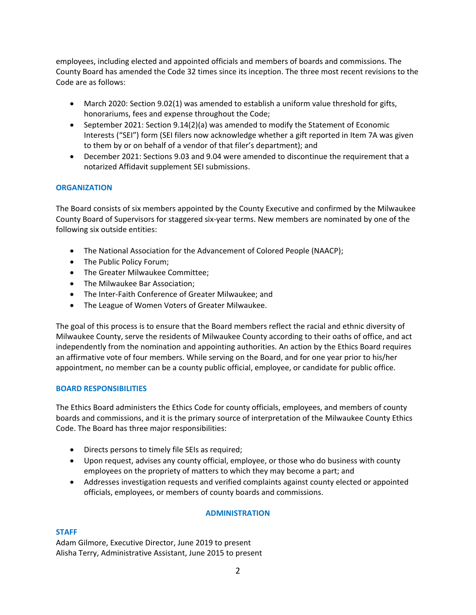employees, including elected and appointed officials and members of boards and commissions. The County Board has amended the Code 32 times since its inception. The three most recent revisions to the Code are as follows:

- March 2020: Section 9.02(1) was amended to establish a uniform value threshold for gifts, honorariums, fees and expense throughout the Code;
- September 2021: Section 9.14(2)(a) was amended to modify the Statement of Economic Interests ("SEI") form (SEI filers now acknowledge whether a gift reported in Item 7A was given to them by or on behalf of a vendor of that filer's department); and
- December 2021: Sections 9.03 and 9.04 were amended to discontinue the requirement that a notarized Affidavit supplement SEI submissions.

# **ORGANIZATION**

The Board consists of six members appointed by the County Executive and confirmed by the Milwaukee County Board of Supervisors for staggered six-year terms. New members are nominated by one of the following six outside entities:

- The National Association for the Advancement of Colored People (NAACP);
- The Public Policy Forum;
- The Greater Milwaukee Committee;
- The Milwaukee Bar Association;
- The Inter-Faith Conference of Greater Milwaukee; and
- The League of Women Voters of Greater Milwaukee.

The goal of this process is to ensure that the Board members reflect the racial and ethnic diversity of Milwaukee County, serve the residents of Milwaukee County according to their oaths of office, and act independently from the nomination and appointing authorities. An action by the Ethics Board requires an affirmative vote of four members. While serving on the Board, and for one year prior to his/her appointment, no member can be a county public official, employee, or candidate for public office.

## **BOARD RESPONSIBILITIES**

The Ethics Board administers the Ethics Code for county officials, employees, and members of county boards and commissions, and it is the primary source of interpretation of the Milwaukee County Ethics Code. The Board has three major responsibilities:

- Directs persons to timely file SEIs as required;
- Upon request, advises any county official, employee, or those who do business with county employees on the propriety of matters to which they may become a part; and
- Addresses investigation requests and verified complaints against county elected or appointed officials, employees, or members of county boards and commissions.

## **ADMINISTRATION**

## **STAFF**

Adam Gilmore, Executive Director, June 2019 to present Alisha Terry, Administrative Assistant, June 2015 to present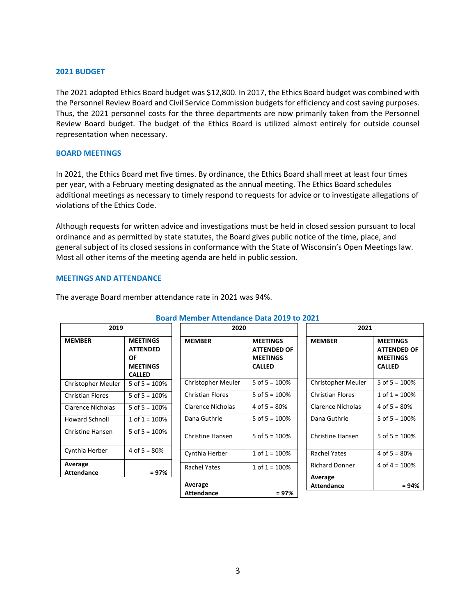#### **2021 BUDGET**

The 2021 adopted Ethics Board budget was \$12,800. In 2017, the Ethics Board budget was combined with the Personnel Review Board and Civil Service Commission budgets for efficiency and cost saving purposes. Thus, the 2021 personnel costs for the three departments are now primarily taken from the Personnel Review Board budget. The budget of the Ethics Board is utilized almost entirely for outside counsel representation when necessary.

#### **BOARD MEETINGS**

In 2021, the Ethics Board met five times. By ordinance, the Ethics Board shall meet at least four times per year, with a February meeting designated as the annual meeting. The Ethics Board schedules additional meetings as necessary to timely respond to requests for advice or to investigate allegations of violations of the Ethics Code.

Although requests for written advice and investigations must be held in closed session pursuant to local ordinance and as permitted by state statutes, the Board gives public notice of the time, place, and general subject of its closed sessions in conformance with the State of Wisconsin's Open Meetings law. Most all other items of the meeting agenda are held in public session.

#### **MEETINGS AND ATTENDANCE**

|                       |                                                                              | <b>Board Member Attendance Data 2019 to 2021</b> |                                                                           |                              |                                                                           |
|-----------------------|------------------------------------------------------------------------------|--------------------------------------------------|---------------------------------------------------------------------------|------------------------------|---------------------------------------------------------------------------|
| 2019                  |                                                                              | 2020                                             |                                                                           | 2021                         |                                                                           |
| MEMBER                | <b>MEETINGS</b><br><b>ATTENDED</b><br>OF<br><b>MEETINGS</b><br><b>CALLED</b> | <b>MEMBER</b>                                    | <b>MEETINGS</b><br><b>ATTENDED OF</b><br><b>MEETINGS</b><br><b>CALLED</b> | <b>MEMBER</b>                | <b>MEETINGS</b><br><b>ATTENDED OF</b><br><b>MEETINGS</b><br><b>CALLED</b> |
| Christopher Meuler    | 5 of $5 = 100%$                                                              | Christopher Meuler                               | 5 of $5 = 100%$                                                           | Christopher Meuler           | 5 of $5 = 100%$                                                           |
| Christian Flores      | 5 of $5 = 100\%$                                                             | <b>Christian Flores</b>                          | 5 of $5 = 100%$                                                           | <b>Christian Flores</b>      | $1$ of $1 = 100\%$                                                        |
| Clarence Nicholas     | 5 of $5 = 100%$                                                              | <b>Clarence Nicholas</b>                         | 4 of $5 = 80%$                                                            | <b>Clarence Nicholas</b>     | 4 of $5 = 80%$                                                            |
| <b>Howard Schnoll</b> | 1 of $1 = 100\%$                                                             | Dana Guthrie                                     | 5 of $5 = 100%$                                                           | Dana Guthrie                 | 5 of $5 = 100%$                                                           |
| Christine Hansen      | 5 of $5 = 100\%$                                                             | <b>Christine Hansen</b>                          | 5 of $5 = 100%$                                                           | <b>Christine Hansen</b>      | 5 of $5 = 100%$                                                           |
| Cynthia Herber        | 4 of $5 = 80%$                                                               | Cynthia Herber                                   | $1$ of $1 = 100%$                                                         | <b>Rachel Yates</b>          | 4 of $5 = 80%$                                                            |
| Average<br>Attendance | $= 97%$                                                                      | <b>Rachel Yates</b>                              | $1$ of $1 = 100%$                                                         | <b>Richard Donner</b>        | 4 of $4 = 100\%$                                                          |
|                       |                                                                              | Average<br><b>Attendance</b>                     | $= 97%$                                                                   | Average<br><b>Attendance</b> | $= 94%$                                                                   |

#### The average Board member attendance rate in 2021 was 94%.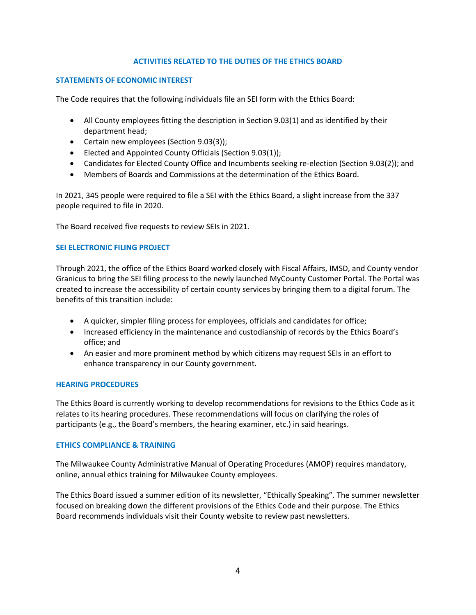## **ACTIVITIES RELATED TO THE DUTIES OF THE ETHICS BOARD**

### **STATEMENTS OF ECONOMIC INTEREST**

The Code requires that the following individuals file an SEI form with the Ethics Board:

- All County employees fitting the description in Section 9.03(1) and as identified by their department head;
- Certain new employees (Section 9.03(3));
- Elected and Appointed County Officials (Section 9.03(1));
- Candidates for Elected County Office and Incumbents seeking re-election (Section 9.03(2)); and
- Members of Boards and Commissions at the determination of the Ethics Board.

In 2021, 345 people were required to file a SEI with the Ethics Board, a slight increase from the 337 people required to file in 2020.

The Board received five requests to review SEIs in 2021.

## **SEI ELECTRONIC FILING PROJECT**

Through 2021, the office of the Ethics Board worked closely with Fiscal Affairs, IMSD, and County vendor Granicus to bring the SEI filing process to the newly launched MyCounty Customer Portal. The Portal was created to increase the accessibility of certain county services by bringing them to a digital forum. The benefits of this transition include:

- A quicker, simpler filing process for employees, officials and candidates for office;
- Increased efficiency in the maintenance and custodianship of records by the Ethics Board's office; and
- An easier and more prominent method by which citizens may request SEIs in an effort to enhance transparency in our County government.

#### **HEARING PROCEDURES**

The Ethics Board is currently working to develop recommendations for revisions to the Ethics Code as it relates to its hearing procedures. These recommendations will focus on clarifying the roles of participants (e.g., the Board's members, the hearing examiner, etc.) in said hearings.

#### **ETHICS COMPLIANCE & TRAINING**

The Milwaukee County Administrative Manual of Operating Procedures (AMOP) requires mandatory, online, annual ethics training for Milwaukee County employees.

The Ethics Board issued a summer edition of its newsletter, "Ethically Speaking". The summer newsletter focused on breaking down the different provisions of the Ethics Code and their purpose. The Ethics Board recommends individuals visit their County website to review past newsletters.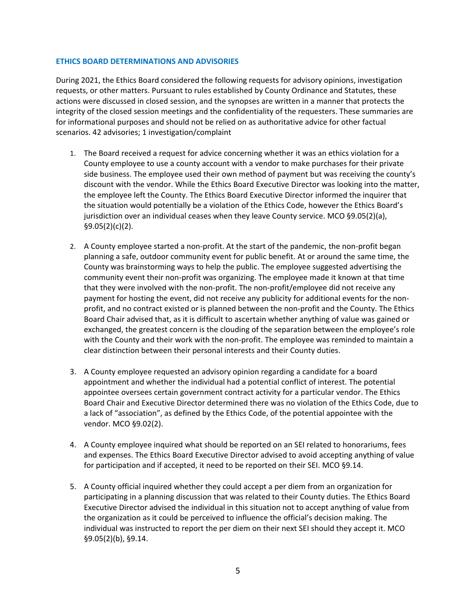### **ETHICS BOARD DETERMINATIONS AND ADVISORIES**

During 2021, the Ethics Board considered the following requests for advisory opinions, investigation requests, or other matters. Pursuant to rules established by County Ordinance and Statutes, these actions were discussed in closed session, and the synopses are written in a manner that protects the integrity of the closed session meetings and the confidentiality of the requesters. These summaries are for informational purposes and should not be relied on as authoritative advice for other factual scenarios. 42 advisories; 1 investigation/complaint

- 1. The Board received a request for advice concerning whether it was an ethics violation for a County employee to use a county account with a vendor to make purchases for their private side business. The employee used their own method of payment but was receiving the county's discount with the vendor. While the Ethics Board Executive Director was looking into the matter, the employee left the County. The Ethics Board Executive Director informed the inquirer that the situation would potentially be a violation of the Ethics Code, however the Ethics Board's jurisdiction over an individual ceases when they leave County service. MCO §9.05(2)(a), §9.05(2)(c)(2).
- 2. A County employee started a non-profit. At the start of the pandemic, the non-profit began planning a safe, outdoor community event for public benefit. At or around the same time, the County was brainstorming ways to help the public. The employee suggested advertising the community event their non-profit was organizing. The employee made it known at that time that they were involved with the non-profit. The non-profit/employee did not receive any payment for hosting the event, did not receive any publicity for additional events for the nonprofit, and no contract existed or is planned between the non-profit and the County. The Ethics Board Chair advised that, as it is difficult to ascertain whether anything of value was gained or exchanged, the greatest concern is the clouding of the separation between the employee's role with the County and their work with the non-profit. The employee was reminded to maintain a clear distinction between their personal interests and their County duties.
- 3. A County employee requested an advisory opinion regarding a candidate for a board appointment and whether the individual had a potential conflict of interest. The potential appointee oversees certain government contract activity for a particular vendor. The Ethics Board Chair and Executive Director determined there was no violation of the Ethics Code, due to a lack of "association", as defined by the Ethics Code, of the potential appointee with the vendor. MCO §9.02(2).
- 4. A County employee inquired what should be reported on an SEI related to honorariums, fees and expenses. The Ethics Board Executive Director advised to avoid accepting anything of value for participation and if accepted, it need to be reported on their SEI. MCO §9.14.
- 5. A County official inquired whether they could accept a per diem from an organization for participating in a planning discussion that was related to their County duties. The Ethics Board Executive Director advised the individual in this situation not to accept anything of value from the organization as it could be perceived to influence the official's decision making. The individual was instructed to report the per diem on their next SEI should they accept it. MCO §9.05(2)(b), §9.14.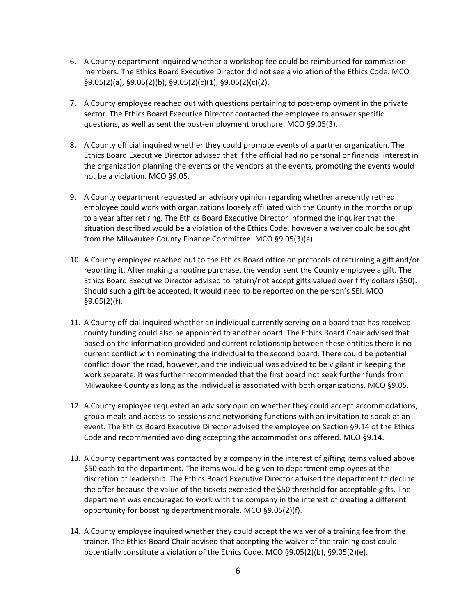- 6. A County department inquired whether a workshop fee could be reimbursed for commission members. The Ethics Board Executive Director did not see a violation of the Ethics Code. MCO §9.05(2)(a), §9.05(2)(b), §9.05(2)(c)(1), §9.05(2)(c)(2).
- 7. A County employee reached out with questions pertaining to post-employment in the private sector. The Ethics Board Executive Director contacted the employee to answer specific questions, as well as sent the post-employment brochure. MCO §9.05(3).
- 8. A County official inquired whether they could promote events of a partner organization. The Ethics Board Executive Director advised that if the official had no personal or financial interest in the organization planning the events or the vendors at the events, promoting the events would not be a violation. MCO §9.05.
- 9. A County department requested an advisory opinion regarding whether a recently retired employee could work with organizations loosely affiliated with the County in the months or up to a year after retiring. The Ethics Board Executive Director informed the inquirer that the situation described would be a violation of the Ethics Code, however a waiver could be sought from the Milwaukee County Finance Committee. MCO §9.05(3)(a).
- 10. A County employee reached out to the Ethics Board office on protocols of returning a gift and/or reporting it. After making a routine purchase, the vendor sent the County employee a gift. The Ethics Board Executive Director advised to return/not accept gifts valued over fifty dollars (\$50). Should such a gift be accepted, it would need to be reported on the person's SEI. MCO §9.05(2)(f).
- 11. A County official inquired whether an individual currently serving on a board that has received county funding could also be appointed to another board. The Ethics Board Chair advised that based on the information provided and current relationship between these entities there is no current conflict with nominating the individual to the second board. There could be potential conflict down the road, however, and the individual was advised to be vigilant in keeping the work separate. It was further recommended that the first board not seek further funds from Milwaukee County as long as the individual is associated with both organizations. MCO §9.05.
- 12. A County employee requested an advisory opinion whether they could accept accommodations, group meals and access to sessions and networking functions with an invitation to speak at an event. The Ethics Board Executive Director advised the employee on Section §9.14 of the Ethics Code and recommended avoiding accepting the accommodations offered. MCO §9.14.
- 13. A County department was contacted by a company in the interest of gifting items valued above \$50 each to the department. The items would be given to department employees at the discretion of leadership. The Ethics Board Executive Director advised the department to decline the offer because the value of the tickets exceeded the \$50 threshold for acceptable gifts. The department was encouraged to work with the company in the interest of creating a different opportunity for boosting department morale. MCO §9.05(2)(f).
- 14. A County employee inquired whether they could accept the waiver of a training fee from the trainer. The Ethics Board Chair advised that accepting the waiver of the training cost could potentially constitute a violation of the Ethics Code. MCO §9.05(2)(b), §9.05(2)(e).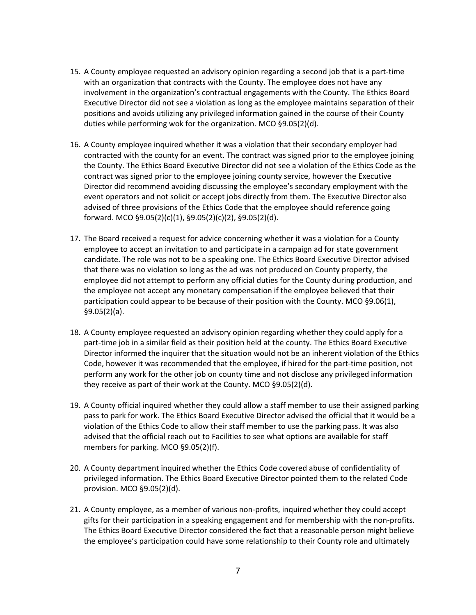- 15. A County employee requested an advisory opinion regarding a second job that is a part-time with an organization that contracts with the County. The employee does not have any involvement in the organization's contractual engagements with the County. The Ethics Board Executive Director did not see a violation as long as the employee maintains separation of their positions and avoids utilizing any privileged information gained in the course of their County duties while performing wok for the organization. MCO §9.05(2)(d).
- 16. A County employee inquired whether it was a violation that their secondary employer had contracted with the county for an event. The contract was signed prior to the employee joining the County. The Ethics Board Executive Director did not see a violation of the Ethics Code as the contract was signed prior to the employee joining county service, however the Executive Director did recommend avoiding discussing the employee's secondary employment with the event operators and not solicit or accept jobs directly from them. The Executive Director also advised of three provisions of the Ethics Code that the employee should reference going forward. MCO §9.05(2)(c)(1), §9.05(2)(c)(2), §9.05(2)(d).
- 17. The Board received a request for advice concerning whether it was a violation for a County employee to accept an invitation to and participate in a campaign ad for state government candidate. The role was not to be a speaking one. The Ethics Board Executive Director advised that there was no violation so long as the ad was not produced on County property, the employee did not attempt to perform any official duties for the County during production, and the employee not accept any monetary compensation if the employee believed that their participation could appear to be because of their position with the County. MCO §9.06(1), §9.05(2)(a).
- 18. A County employee requested an advisory opinion regarding whether they could apply for a part-time job in a similar field as their position held at the county. The Ethics Board Executive Director informed the inquirer that the situation would not be an inherent violation of the Ethics Code, however it was recommended that the employee, if hired for the part-time position, not perform any work for the other job on county time and not disclose any privileged information they receive as part of their work at the County. MCO §9.05(2)(d).
- 19. A County official inquired whether they could allow a staff member to use their assigned parking pass to park for work. The Ethics Board Executive Director advised the official that it would be a violation of the Ethics Code to allow their staff member to use the parking pass. It was also advised that the official reach out to Facilities to see what options are available for staff members for parking. MCO §9.05(2)(f).
- 20. A County department inquired whether the Ethics Code covered abuse of confidentiality of privileged information. The Ethics Board Executive Director pointed them to the related Code provision. MCO §9.05(2)(d).
- 21. A County employee, as a member of various non-profits, inquired whether they could accept gifts for their participation in a speaking engagement and for membership with the non-profits. The Ethics Board Executive Director considered the fact that a reasonable person might believe the employee's participation could have some relationship to their County role and ultimately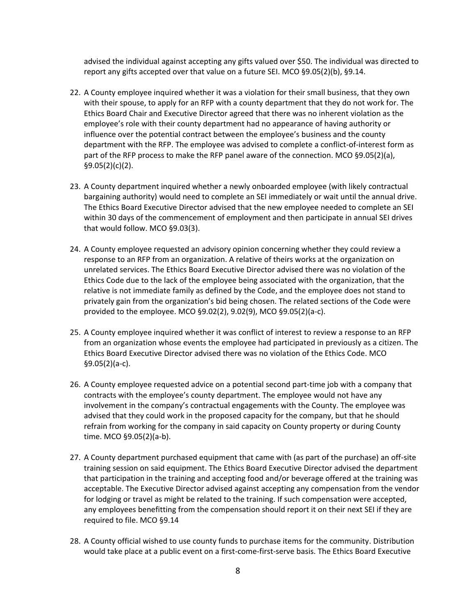advised the individual against accepting any gifts valued over \$50. The individual was directed to report any gifts accepted over that value on a future SEI. MCO §9.05(2)(b), §9.14.

- 22. A County employee inquired whether it was a violation for their small business, that they own with their spouse, to apply for an RFP with a county department that they do not work for. The Ethics Board Chair and Executive Director agreed that there was no inherent violation as the employee's role with their county department had no appearance of having authority or influence over the potential contract between the employee's business and the county department with the RFP. The employee was advised to complete a conflict-of-interest form as part of the RFP process to make the RFP panel aware of the connection. MCO §9.05(2)(a), §9.05(2)(c)(2).
- 23. A County department inquired whether a newly onboarded employee (with likely contractual bargaining authority) would need to complete an SEI immediately or wait until the annual drive. The Ethics Board Executive Director advised that the new employee needed to complete an SEI within 30 days of the commencement of employment and then participate in annual SEI drives that would follow. MCO §9.03(3).
- 24. A County employee requested an advisory opinion concerning whether they could review a response to an RFP from an organization. A relative of theirs works at the organization on unrelated services. The Ethics Board Executive Director advised there was no violation of the Ethics Code due to the lack of the employee being associated with the organization, that the relative is not immediate family as defined by the Code, and the employee does not stand to privately gain from the organization's bid being chosen. The related sections of the Code were provided to the employee. MCO §9.02(2), 9.02(9), MCO §9.05(2)(a-c).
- 25. A County employee inquired whether it was conflict of interest to review a response to an RFP from an organization whose events the employee had participated in previously as a citizen. The Ethics Board Executive Director advised there was no violation of the Ethics Code. MCO §9.05(2)(a-c).
- 26. A County employee requested advice on a potential second part-time job with a company that contracts with the employee's county department. The employee would not have any involvement in the company's contractual engagements with the County. The employee was advised that they could work in the proposed capacity for the company, but that he should refrain from working for the company in said capacity on County property or during County time. MCO §9.05(2)(a-b).
- 27. A County department purchased equipment that came with (as part of the purchase) an off-site training session on said equipment. The Ethics Board Executive Director advised the department that participation in the training and accepting food and/or beverage offered at the training was acceptable. The Executive Director advised against accepting any compensation from the vendor for lodging or travel as might be related to the training. If such compensation were accepted, any employees benefitting from the compensation should report it on their next SEI if they are required to file. MCO §9.14
- 28. A County official wished to use county funds to purchase items for the community. Distribution would take place at a public event on a first-come-first-serve basis. The Ethics Board Executive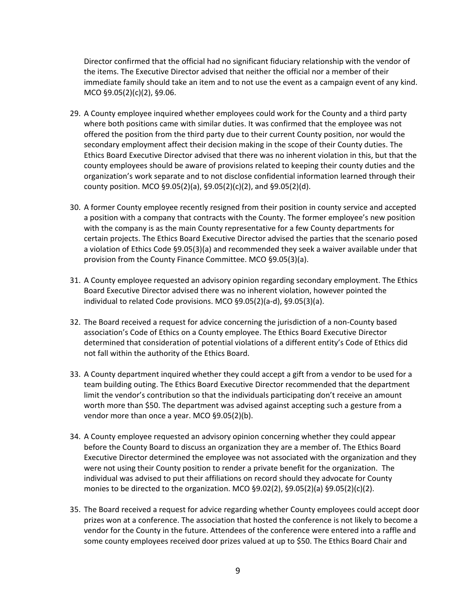Director confirmed that the official had no significant fiduciary relationship with the vendor of the items. The Executive Director advised that neither the official nor a member of their immediate family should take an item and to not use the event as a campaign event of any kind. MCO §9.05(2)(c)(2), §9.06.

- 29. A County employee inquired whether employees could work for the County and a third party where both positions came with similar duties. It was confirmed that the employee was not offered the position from the third party due to their current County position, nor would the secondary employment affect their decision making in the scope of their County duties. The Ethics Board Executive Director advised that there was no inherent violation in this, but that the county employees should be aware of provisions related to keeping their county duties and the organization's work separate and to not disclose confidential information learned through their county position. MCO §9.05(2)(a), §9.05(2)(c)(2), and §9.05(2)(d).
- 30. A former County employee recently resigned from their position in county service and accepted a position with a company that contracts with the County. The former employee's new position with the company is as the main County representative for a few County departments for certain projects. The Ethics Board Executive Director advised the parties that the scenario posed a violation of Ethics Code §9.05(3)(a) and recommended they seek a waiver available under that provision from the County Finance Committee. MCO §9.05(3)(a).
- 31. A County employee requested an advisory opinion regarding secondary employment. The Ethics Board Executive Director advised there was no inherent violation, however pointed the individual to related Code provisions. MCO §9.05(2)(a-d), §9.05(3)(a).
- 32. The Board received a request for advice concerning the jurisdiction of a non-County based association's Code of Ethics on a County employee. The Ethics Board Executive Director determined that consideration of potential violations of a different entity's Code of Ethics did not fall within the authority of the Ethics Board.
- 33. A County department inquired whether they could accept a gift from a vendor to be used for a team building outing. The Ethics Board Executive Director recommended that the department limit the vendor's contribution so that the individuals participating don't receive an amount worth more than \$50. The department was advised against accepting such a gesture from a vendor more than once a year. MCO §9.05(2)(b).
- 34. A County employee requested an advisory opinion concerning whether they could appear before the County Board to discuss an organization they are a member of. The Ethics Board Executive Director determined the employee was not associated with the organization and they were not using their County position to render a private benefit for the organization. The individual was advised to put their affiliations on record should they advocate for County monies to be directed to the organization. MCO  $\S 9.02(2)$ ,  $\S 9.05(2)(a)$   $\S 9.05(2)(c)(2)$ .
- 35. The Board received a request for advice regarding whether County employees could accept door prizes won at a conference. The association that hosted the conference is not likely to become a vendor for the County in the future. Attendees of the conference were entered into a raffle and some county employees received door prizes valued at up to \$50. The Ethics Board Chair and